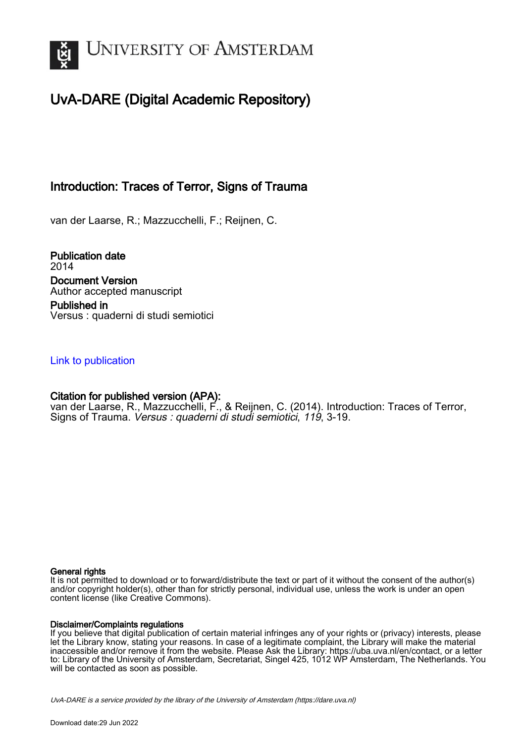

# UvA-DARE (Digital Academic Repository)

# Introduction: Traces of Terror, Signs of Trauma

van der Laarse, R.; Mazzucchelli, F.; Reijnen, C.

Publication date 2014 Document Version Author accepted manuscript Published in Versus : quaderni di studi semiotici

[Link to publication](https://dare.uva.nl/personal/pure/en/publications/introduction-traces-of-terror-signs-of-trauma(95c9b68b-f4b2-41cd-8dc9-df1b60628d8a).html)

## Citation for published version (APA):

van der Laarse, R., Mazzucchelli, F., & Reijnen, C. (2014). Introduction: Traces of Terror, Signs of Trauma. Versus : quaderni di studi semiotici, 119, 3-19.

### General rights

It is not permitted to download or to forward/distribute the text or part of it without the consent of the author(s) and/or copyright holder(s), other than for strictly personal, individual use, unless the work is under an open content license (like Creative Commons).

### Disclaimer/Complaints regulations

If you believe that digital publication of certain material infringes any of your rights or (privacy) interests, please let the Library know, stating your reasons. In case of a legitimate complaint, the Library will make the material inaccessible and/or remove it from the website. Please Ask the Library: https://uba.uva.nl/en/contact, or a letter to: Library of the University of Amsterdam, Secretariat, Singel 425, 1012 WP Amsterdam, The Netherlands. You will be contacted as soon as possible.

UvA-DARE is a service provided by the library of the University of Amsterdam (http*s*://dare.uva.nl)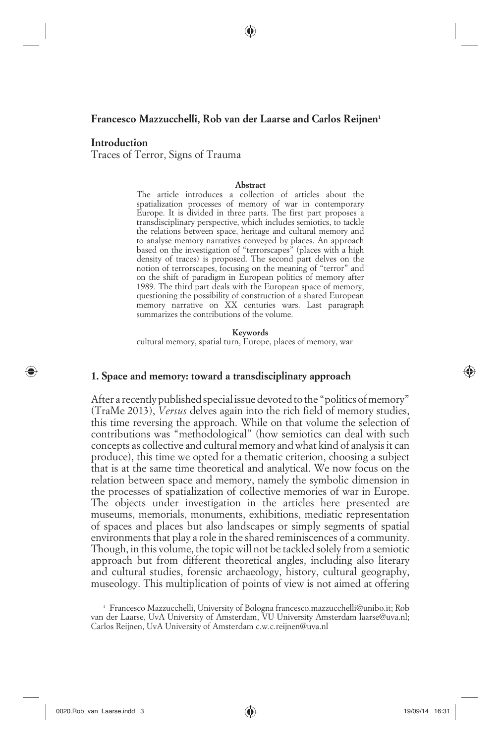#### **Francesco Mazzucchelli, Rob van der Laarse and Carlos Reijnen1**

#### **Introduction**

⊕

Traces of Terror, Signs of Trauma

#### **Abstract**

The article introduces a collection of articles about the spatialization processes of memory of war in contemporary Europe. It is divided in three parts. The first part proposes a transdisciplinary perspective, which includes semiotics, to tackle the relations between space, heritage and cultural memory and to analyse memory narratives conveyed by places. An approach based on the investigation of "terrorscapes" (places with a high density of traces) is proposed. The second part delves on the notion of terrorscapes, focusing on the meaning of "terror" and on the shift of paradigm in European politics of memory after 1989. The third part deals with the European space of memory, questioning the possibility of construction of a shared European memory narrative on XX centuries wars. Last paragraph summarizes the contributions of the volume.

**Keywords**

cultural memory, spatial turn, Europe, places of memory, war

#### **1. Space and memory: toward a transdisciplinary approach**

 After a recently published special issue devoted to the "politics of memory" (TraMe 2013), *Versus* delves again into the rich field of memory studies, this time reversing the approach. While on that volume the selection of contributions was "methodological" (how semiotics can deal with such concepts as collective and cultural memory and what kind of analysis it can produce), this time we opted for a thematic criterion, choosing a subject that is at the same time theoretical and analytical. We now focus on the relation between space and memory, namely the symbolic dimension in the processes of spatialization of collective memories of war in Europe. The objects under investigation in the articles here presented are museums, memorials, monuments, exhibitions, mediatic representation of spaces and places but also landscapes or simply segments of spatial environments that play a role in the shared reminiscences of a community. Though, in this volume, the topic will not be tackled solely from a semiotic approach but from different theoretical angles, including also literary and cultural studies, forensic archaeology, history, cultural geography, museology. This multiplication of points of view is not aimed at offering

<sup>1</sup> Francesco Mazzucchelli, University of Bologna francesco.mazzucchelli@unibo.it; Rob van der Laarse, UvA University of Amsterdam, VU University Amsterdam laarse@uva.nl; Carlos Reijnen, UvA University of Amsterdam c.w.c.reijnen@uva.nl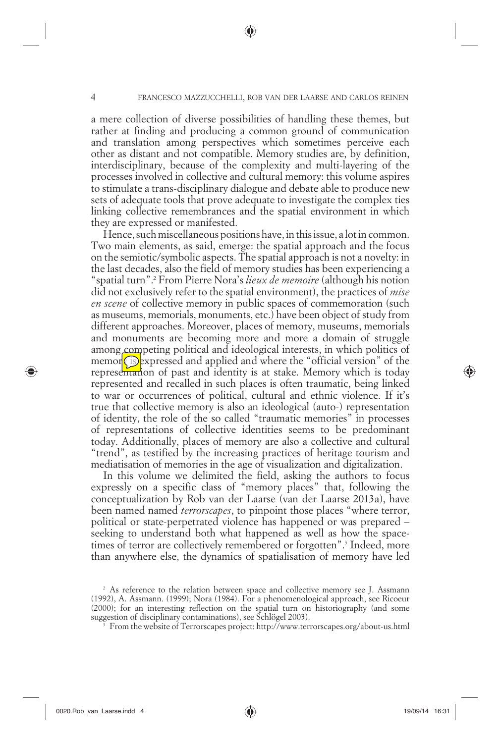a mere collection of diverse possibilities of handling these themes, but rather at finding and producing a common ground of communication and translation among perspectives which sometimes perceive each other as distant and not compatible. Memory studies are, by definition, interdisciplinary, because of the complexity and multi-layering of the processes involved in collective and cultural memory: this volume aspires to stimulate a trans-disciplinary dialogue and debate able to produce new sets of adequate tools that prove adequate to investigate the complex ties linking collective remembrances and the spatial environment in which they are expressed or manifested.

Hence, such miscellaneous positions have, in this issue, a lot in common. Two main elements, as said, emerge: the spatial approach and the focus on the semiotic/symbolic aspects. The spatial approach is not a novelty: in the last decades, also the field of memory studies has been experiencing a "spatial turn".2 From Pierre Nora's *lieux de memoire* (although his notion did not exclusively refer to the spatial environment), the practices of *mise en scene* of collective memory in public spaces of commemoration (such as museums, memorials, monuments, etc.) have been object of study from different approaches. Moreover, places of memory, museums, memorials and monuments are becoming more and more a domain of struggle among competing political and ideological interests, in which politics of memor**(is)** expressed and applied and where the "official version" of the representation of past and identity is at stake. Memory which is today represented and recalled in such places is often traumatic, being linked to war or occurrences of political, cultural and ethnic violence. If it's true that collective memory is also an ideological (auto-) representation of identity, the role of the so called "traumatic memories" in processes of representations of collective identities seems to be predominant today. Additionally, places of memory are also a collective and cultural "trend", as testified by the increasing practices of heritage tourism and mediatisation of memories in the age of visualization and digitalization.

In this volume we delimited the field, asking the authors to focus expressly on a specific class of "memory places" that, following the conceptualization by Rob van der Laarse (van der Laarse 2013a), have been named named *terrorscapes*, to pinpoint those places "where terror, political or state-perpetrated violence has happened or was prepared – seeking to understand both what happened as well as how the spacetimes of terror are collectively remembered or forgotten".3 Indeed, more than anywhere else, the dynamics of spatialisation of memory have led

0020.Rob\_van\_Laarse.indd 4 020.Rob\_van\_Laarse.indd 19/09/14 16:31

⊕

<sup>&</sup>lt;sup>2</sup> As reference to the relation between space and collective memory see J. Assmann (1992), A. Assmann. (1999); Nora (1984). For a phenomenological approach, see Ricoeur (2000); for an interesting reflection on the spatial turn on historiography (and some suggestion of disciplinary contaminations), see Schlögel 2003).

From the website of Terrorscapes project: http://www.terrorscapes.org/about-us.html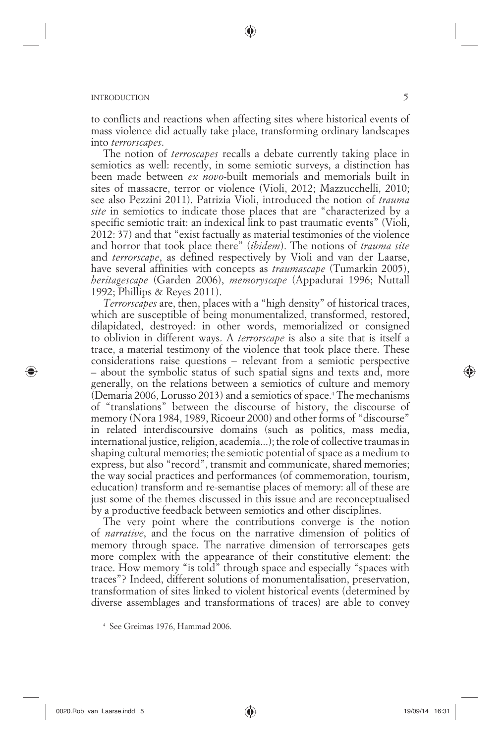to conflicts and reactions when affecting sites where historical events of mass violence did actually take place, transforming ordinary landscapes into *terrorscapes*.

⊕

The notion of *terroscapes* recalls a debate currently taking place in semiotics as well: recently, in some semiotic surveys, a distinction has been made between *ex novo-*built memorials and memorials built in sites of massacre, terror or violence (Violi, 2012; Mazzucchelli, 2010; see also Pezzini 2011). Patrizia Violi, introduced the notion of *trauma site* in semiotics to indicate those places that are "characterized by a specific semiotic trait: an indexical link to past traumatic events" (Violi, 2012: 37) and that "exist factually as material testimonies of the violence and horror that took place there" (*ibidem*). The notions of *trauma site*  and *terrorscape*, as defined respectively by Violi and van der Laarse, have several affinities with concepts as *traumascape* (Tumarkin 2005), *heritagescape* (Garden 2006), *memoryscape* (Appadurai 1996; Nuttall 1992; Phillips & Reyes 2011).

*Terrorscapes* are, then, places with a "high density" of historical traces, which are susceptible of being monumentalized, transformed, restored, dilapidated, destroyed: in other words, memorialized or consigned to oblivion in different ways. A *terrorscape* is also a site that is itself a trace, a material testimony of the violence that took place there. These considerations raise questions – relevant from a semiotic perspective – about the symbolic status of such spatial signs and texts and, more generally, on the relations between a semiotics of culture and memory (Demaria 2006, Lorusso 2013) and a semiotics of space.4 The mechanisms of "translations" between the discourse of history, the discourse of memory (Nora 1984, 1989, Ricoeur 2000) and other forms of "discourse" in related interdiscoursive domains (such as politics, mass media, international justice, religion, academia...); the role of collective traumas in shaping cultural memories; the semiotic potential of space as a medium to express, but also "record", transmit and communicate, shared memories; the way social practices and performances (of commemoration, tourism, education) transform and re-semantise places of memory: all of these are just some of the themes discussed in this issue and are reconceptualised by a productive feedback between semiotics and other disciplines.

The very point where the contributions converge is the notion of *narrative*, and the focus on the narrative dimension of politics of memory through space. The narrative dimension of terrorscapes gets more complex with the appearance of their constitutive element: the trace. How memory "is told" through space and especially "spaces with traces"? Indeed, different solutions of monumentalisation, preservation, transformation of sites linked to violent historical events (determined by diverse assemblages and transformations of traces) are able to convey

⊕

<sup>4</sup> See Greimas 1976, Hammad 2006.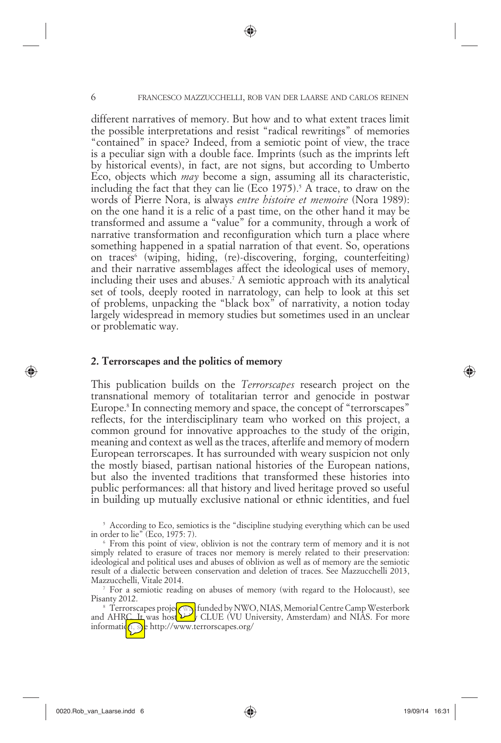different narratives of memory. But how and to what extent traces limit the possible interpretations and resist "radical rewritings" of memories "contained" in space? Indeed, from a semiotic point of view, the trace is a peculiar sign with a double face. Imprints (such as the imprints left by historical events), in fact, are not signs, but according to Umberto Eco, objects which *may* become a sign, assuming all its characteristic, including the fact that they can lie (Eco 1975).<sup>5</sup> A trace, to draw on the words of Pierre Nora, is always *entre histoire et memoire* (Nora 1989): on the one hand it is a relic of a past time, on the other hand it may be transformed and assume a "value" for a community, through a work of narrative transformation and reconfiguration which turn a place where something happened in a spatial narration of that event. So, operations on traces<sup>6</sup> (wiping, hiding, (re)-discovering, forging, counterfeiting) and their narrative assemblages affect the ideological uses of memory, including their uses and abuses.7 A semiotic approach with its analytical set of tools, deeply rooted in narratology, can help to look at this set of problems, unpacking the "black box" of narrativity, a notion today largely widespread in memory studies but sometimes used in an unclear or problematic way.

#### **2. Terrorscapes and the politics of memory**

This publication builds on the *Terrorscapes* research project on the transnational memory of totalitarian terror and genocide in postwar Europe.8 In connecting memory and space, the concept of "terrorscapes" reflects, for the interdisciplinary team who worked on this project, a common ground for innovative approaches to the study of the origin, meaning and context as well as the traces, afterlife and memory of modern European terrorscapes. It has surrounded with weary suspicion not only the mostly biased, partisan national histories of the European nations, but also the invented traditions that transformed these histories into public performances: all that history and lived heritage proved so useful in building up mutually exclusive national or ethnic identities, and fuel

Pisanty 2012.<br><sup>8</sup> Terrorscapes projet **(OB)** funded by NWO, NIAS, Memorial Centre Camp Westerbork and AHRC. It was host GUUE (VU University, Amsterdam) and NIAS. For more information, soe http://www.terrorscapes.org/

⊕

<sup>&</sup>lt;sup>5</sup> According to Eco, semiotics is the "discipline studying everything which can be used in order to lie" (Eco, 1975: 7).

<sup>6</sup> From this point of view, oblivion is not the contrary term of memory and it is not simply related to erasure of traces nor memory is merely related to their preservation: ideological and political uses and abuses of oblivion as well as of memory are the semiotic result of a dialectic between conservation and deletion of traces. See Mazzucchelli 2013, Mazzucchelli, Vitale 2014. 7

<sup>&</sup>lt;sup>7</sup> For a semiotic reading on abuses of memory (with regard to the Holocaust), see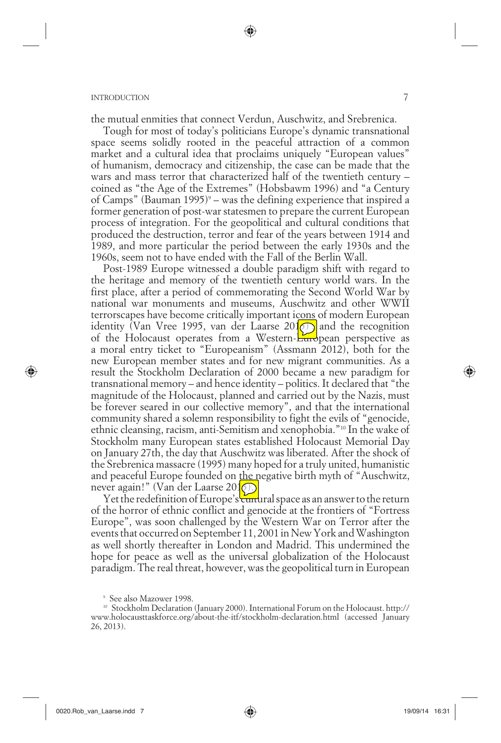the mutual enmities that connect Verdun, Auschwitz, and Srebrenica.

Tough for most of today's politicians Europe's dynamic transnational space seems solidly rooted in the peaceful attraction of a common market and a cultural idea that proclaims uniquely "European values" of humanism, democracy and citizenship, the case can be made that the wars and mass terror that characterized half of the twentieth century – coined as "the Age of the Extremes" (Hobsbawm 1996) and "a Century of Camps" (Bauman 1995)<sup>9</sup> – was the defining experience that inspired a former generation of post-war statesmen to prepare the current European process of integration. For the geopolitical and cultural conditions that produced the destruction, terror and fear of the years between 1914 and 1989, and more particular the period between the early 1930s and the 1960s, seem not to have ended with the Fall of the Berlin Wall.

Post-1989 Europe witnessed a double paradigm shift with regard to the heritage and memory of the twentieth century world wars. In the first place, after a period of commemorating the Second World War by national war monuments and museums, Auschwitz and other WWII terrorscapes have become critically important icons of modern European identity (Van Vree 1995, van der Laarse 201 $\circ$ ) and the recognition of the Holocaust operates from a Western-European perspective as a moral entry ticket to "Europeanism" (Assmann 2012), both for the new European member states and for new migrant communities. As a result the Stockholm Declaration of 2000 became a new paradigm for transnational memory – and hence identity – politics. It declared that "the magnitude of the Holocaust, planned and carried out by the Nazis, must be forever seared in our collective memory", and that the international community shared a solemn responsibility to fight the evils of "genocide, ethnic cleansing, racism, anti-Semitism and xenophobia."10 In the wake of Stockholm many European states established Holocaust Memorial Day on January 27th, the day that Auschwitz was liberated. After the shock of the Srebrenica massacre (1995) many hoped for a truly united, humanistic and peaceful Europe founded on the negative birth myth of "Auschwitz, never again!" (Van der Laarse 2016).

Yet the redefinition of Europe's cultural space as an answer to the return of the horror of ethnic conflict and genocide at the frontiers of "Fortress Europe", was soon challenged by the Western War on Terror after the events that occurred on September 11, 2001 in New York and Washington as well shortly thereafter in London and Madrid. This undermined the hope for peace as well as the universal globalization of the Holocaust paradigm. The real threat, however, was the geopolitical turn in European

⊕

<sup>9</sup> See also Mazower 1998.

<sup>10</sup> Stockholm Declaration (January 2000). International Forum on the Holocaust. http:// www.holocausttaskforce.org/about-the-itf/stockholm-declaration.html (accessed January 26, 2013).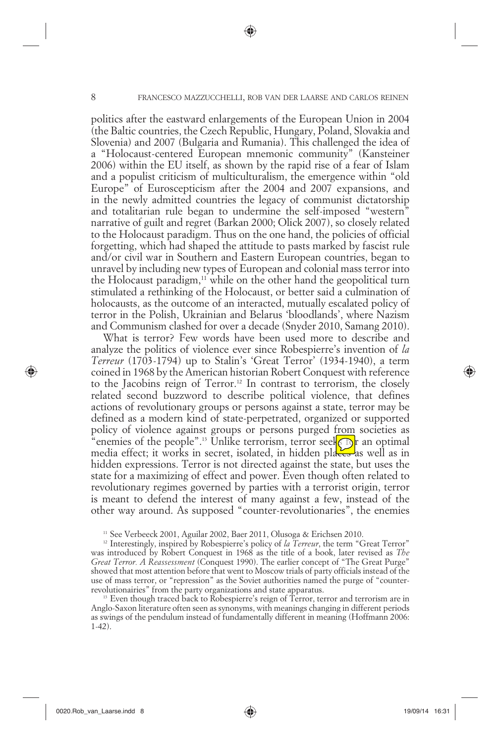politics after the eastward enlargements of the European Union in 2004 (the Baltic countries, the Czech Republic, Hungary, Poland, Slovakia and Slovenia) and 2007 (Bulgaria and Rumania). This challenged the idea of a "Holocaust-centered European mnemonic community" (Kansteiner 2006) within the EU itself, as shown by the rapid rise of a fear of Islam and a populist criticism of multiculturalism, the emergence within "old Europe" of Euroscepticism after the 2004 and 2007 expansions, and in the newly admitted countries the legacy of communist dictatorship and totalitarian rule began to undermine the self-imposed "western" narrative of guilt and regret (Barkan 2000; Olick 2007), so closely related to the Holocaust paradigm. Thus on the one hand, the policies of official forgetting, which had shaped the attitude to pasts marked by fascist rule and/or civil war in Southern and Eastern European countries, began to unravel by including new types of European and colonial mass terror into the Holocaust paradigm, $11$  while on the other hand the geopolitical turn stimulated a rethinking of the Holocaust, or better said a culmination of holocausts, as the outcome of an interacted, mutually escalated policy of terror in the Polish, Ukrainian and Belarus 'bloodlands', where Nazism and Communism clashed for over a decade (Snyder 2010, Samang 2010).

What is terror? Few words have been used more to describe and analyze the politics of violence ever since Robespierre's invention of *la Terreur* (1703-1794) up to Stalin's 'Great Terror' (1934-1940), a term coined in 1968 by the American historian Robert Conquest with reference to the Jacobins reign of Terror.12 In contrast to terrorism, the closely related second buzzword to describe political violence, that defines actions of revolutionary groups or persons against a state, terror may be defined as a modern kind of state-perpetrated, organized or supported policy of violence against groups or persons purged from societies as "enemies of the people".<sup>13</sup> Unlike terrorism, terror seeks for an optimal media effect; it works in secret, isolated, in hidden places as well as in hidden expressions. Terror is not directed against the state, but uses the state for a maximizing of effect and power. Even though often related to revolutionary regimes governed by parties with a terrorist origin, terror is meant to defend the interest of many against a few, instead of the other way around. As supposed "counter-revolutionaries", the enemies

<sup>11</sup> See Verbeeck 2001, Aguilar 2002, Baer 2011, Olusoga & Erichsen 2010.

<sup>12</sup> Interestingly, inspired by Robespierre's policy of *la Terreur*, the term "Great Terror" was introduced by Robert Conquest in 1968 as the title of a book, later revised as *The Great Terror. A Reassessment* (Conquest 1990). The earlier concept of "The Great Purge" showed that most attention before that went to Moscow trials of party officials instead of the use of mass terror, or "repression" as the Soviet authorities named the purge of "counterrevolutionairies" from the party organizations and state apparatus.

<sup>13</sup> Even though traced back to Robespierre's reign of Terror, terror and terrorism are in Anglo-Saxon literature often seen as synonyms, with meanings changing in different periods as swings of the pendulum instead of fundamentally different in meaning (Hoffmann 2006: 1-42).

⊕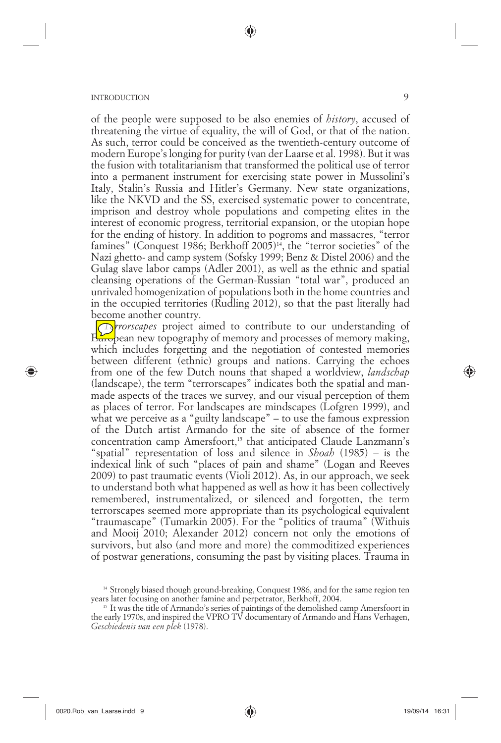of the people were supposed to be also enemies of *history*, accused of threatening the virtue of equality, the will of God, or that of the nation. As such, terror could be conceived as the twentieth-century outcome of modern Europe's longing for purity (van der Laarse et al. 1998). But it was the fusion with totalitarianism that transformed the political use of terror into a permanent instrument for exercising state power in Mussolini's Italy, Stalin's Russia and Hitler's Germany. New state organizations, like the NKVD and the SS, exercised systematic power to concentrate, imprison and destroy whole populations and competing elites in the interest of economic progress, territorial expansion, or the utopian hope for the ending of history. In addition to pogroms and massacres, "terror famines" (Conquest 1986; Berkhoff 2005)<sup> $\frac{1}{4}$ </sup>, the "terror societies" of the Nazi ghetto- and camp system (Sofsky 1999; Benz & Distel 2006) and the Gulag slave labor camps (Adler 2001), as well as the ethnic and spatial cleansing operations of the German-Russian "total war", produced an unrivaled homogenization of populations both in the home countries and in the occupied territories (Rudling 2012), so that the past literally had become another country.

*Terrorscapes* project aimed to contribute to our understanding of  $E_{\text{u}}$  pean new topography of memory and processes of memory making, which includes forgetting and the negotiation of contested memories between different (ethnic) groups and nations. Carrying the echoes from one of the few Dutch nouns that shaped a worldview, *landschap* (landscape), the term "terrorscapes" indicates both the spatial and manmade aspects of the traces we survey, and our visual perception of them as places of terror. For landscapes are mindscapes (Lofgren 1999), and what we perceive as a "guilty landscape" – to use the famous expression of the Dutch artist Armando for the site of absence of the former concentration camp Amersfoort,<sup>15</sup> that anticipated Claude Lanzmann's "spatial" representation of loss and silence in *Shoah* (1985) – is the indexical link of such "places of pain and shame" (Logan and Reeves 2009) to past traumatic events (Violi 2012). As, in our approach, we seek to understand both what happened as well as how it has been collectively remembered, instrumentalized, or silenced and forgotten, the term terrorscapes seemed more appropriate than its psychological equivalent "traumascape" (Tumarkin 2005). For the "politics of trauma" (Withuis and Mooij 2010; Alexander 2012) concern not only the emotions of survivors, but also (and more and more) the commoditized experiences of postwar generations, consuming the past by visiting places. Trauma in

⊕

<sup>&</sup>lt;sup>14</sup> Strongly biased though ground-breaking, Conquest 1986, and for the same region ten years later focusing on another famine and perpetrator, Berkhoff, 2004.

<sup>&</sup>lt;sup>15</sup> It was the title of Armando's series of paintings of the demolished camp Amersfoort in the early 1970s, and inspired the VPRO TV documentary of Armando and Hans Verhagen, *Geschiedenis van een plek* (1978).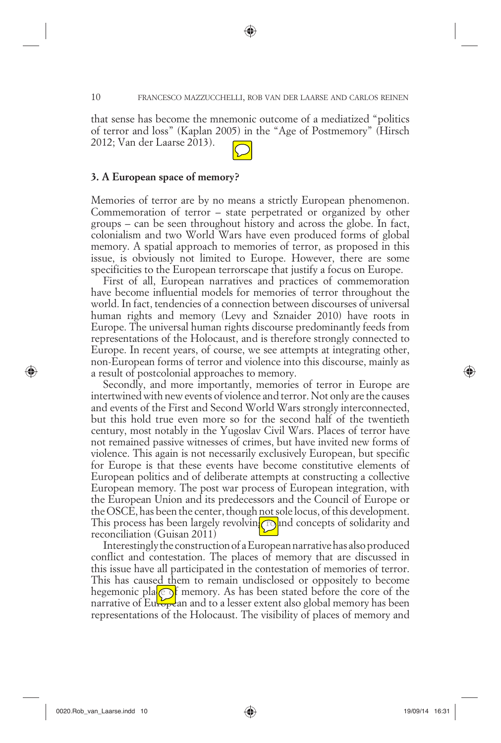that sense has become the mnemonic outcome of a mediatized "politics of terror and loss" (Kaplan 2005) in the "Age of Postmemory" (Hirsch 2012; Van der Laarse 2013).



#### **3. A European space of memory?**

Memories of terror are by no means a strictly European phenomenon. Commemoration of terror – state perpetrated or organized by other groups – can be seen throughout history and across the globe. In fact, colonialism and two World Wars have even produced forms of global memory. A spatial approach to memories of terror, as proposed in this issue, is obviously not limited to Europe. However, there are some specificities to the European terrorscape that justify a focus on Europe.

First of all, European narratives and practices of commemoration have become influential models for memories of terror throughout the world. In fact, tendencies of a connection between discourses of universal human rights and memory (Levy and Sznaider 2010) have roots in Europe. The universal human rights discourse predominantly feeds from representations of the Holocaust, and is therefore strongly connected to Europe. In recent years, of course, we see attempts at integrating other, non-European forms of terror and violence into this discourse, mainly as a result of postcolonial approaches to memory.

Secondly, and more importantly, memories of terror in Europe are intertwined with new events of violence and terror. Not only are the causes and events of the First and Second World Wars strongly interconnected, but this hold true even more so for the second half of the twentieth century, most notably in the Yugoslav Civil Wars. Places of terror have not remained passive witnesses of crimes, but have invited new forms of violence. This again is not necessarily exclusively European, but specific for Europe is that these events have become constitutive elements of European politics and of deliberate attempts at constructing a collective European memory. The post war process of European integration, with the European Union and its predecessors and the Council of Europe or the OSCE, has been the center, though not sole locus, of this development. This process has been largely revolving  $\log$  and concepts of solidarity and reconciliation (Guisan 2011)

Interestingly the construction of a European narrative has also produced conflict and contestation. The places of memory that are discussed in this issue have all participated in the contestation of memories of terror. This has caused them to remain undisclosed or oppositely to become hegemonic pla $\odot$  memory. As has been stated before the core of the narrative of European and to a lesser extent also global memory has been representations of the Holocaust. The visibility of places of memory and

⊕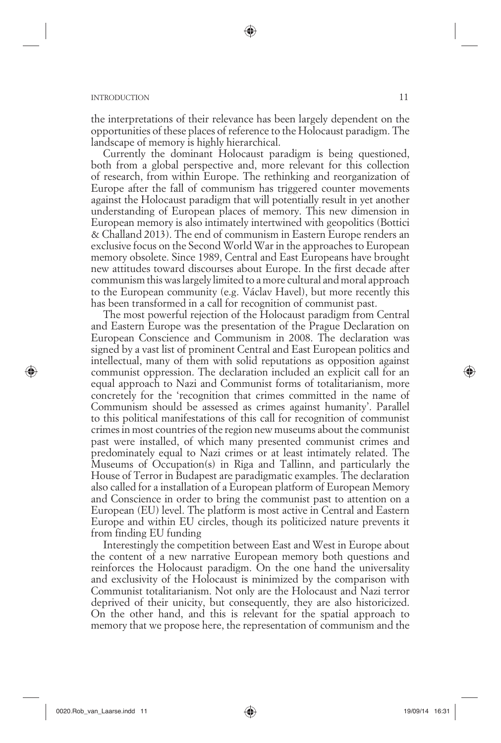the interpretations of their relevance has been largely dependent on the opportunities of these places of reference to the Holocaust paradigm. The landscape of memory is highly hierarchical.

(●

Currently the dominant Holocaust paradigm is being questioned, both from a global perspective and, more relevant for this collection of research, from within Europe. The rethinking and reorganization of Europe after the fall of communism has triggered counter movements against the Holocaust paradigm that will potentially result in yet another understanding of European places of memory. This new dimension in European memory is also intimately intertwined with geopolitics (Bottici & Challand 2013). The end of communism in Eastern Europe renders an exclusive focus on the Second World War in the approaches to European memory obsolete. Since 1989, Central and East Europeans have brought new attitudes toward discourses about Europe. In the first decade after communism this was largely limited to a more cultural and moral approach to the European community (e.g. Václav Havel), but more recently this has been transformed in a call for recognition of communist past.

The most powerful rejection of the Holocaust paradigm from Central and Eastern Europe was the presentation of the Prague Declaration on European Conscience and Communism in 2008. The declaration was signed by a vast list of prominent Central and East European politics and intellectual, many of them with solid reputations as opposition against communist oppression. The declaration included an explicit call for an equal approach to Nazi and Communist forms of totalitarianism, more concretely for the 'recognition that crimes committed in the name of Communism should be assessed as crimes against humanity'. Parallel to this political manifestations of this call for recognition of communist crimes in most countries of the region new museums about the communist past were installed, of which many presented communist crimes and predominately equal to Nazi crimes or at least intimately related. The Museums of Occupation(s) in Riga and Tallinn, and particularly the House of Terror in Budapest are paradigmatic examples. The declaration also called for a installation of a European platform of European Memory and Conscience in order to bring the communist past to attention on a European (EU) level. The platform is most active in Central and Eastern Europe and within EU circles, though its politicized nature prevents it from finding EU funding

Interestingly the competition between East and West in Europe about the content of a new narrative European memory both questions and reinforces the Holocaust paradigm. On the one hand the universality and exclusivity of the Holocaust is minimized by the comparison with Communist totalitarianism. Not only are the Holocaust and Nazi terror deprived of their unicity, but consequently, they are also historicized. On the other hand, and this is relevant for the spatial approach to memory that we propose here, the representation of communism and the

⊕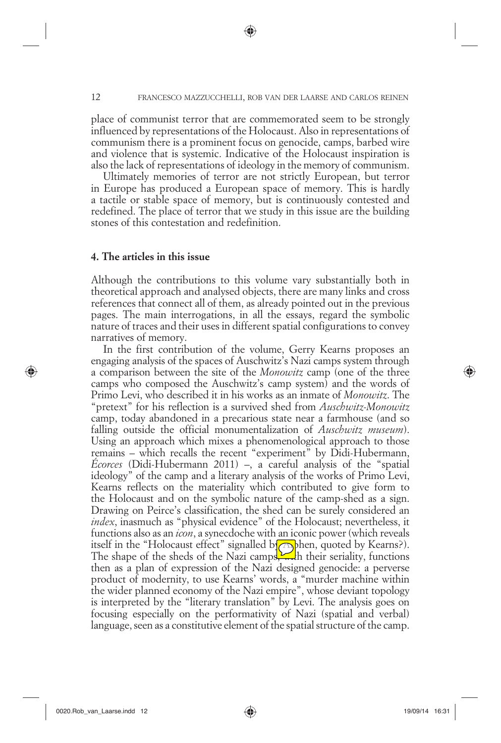place of communist terror that are commemorated seem to be strongly influenced by representations of the Holocaust. Also in representations of communism there is a prominent focus on genocide, camps, barbed wire and violence that is systemic. Indicative of the Holocaust inspiration is also the lack of representations of ideology in the memory of communism.

Ultimately memories of terror are not strictly European, but terror in Europe has produced a European space of memory. This is hardly a tactile or stable space of memory, but is continuously contested and redefined. The place of terror that we study in this issue are the building stones of this contestation and redefinition.

#### **4. The articles in this issue**

Although the contributions to this volume vary substantially both in theoretical approach and analysed objects, there are many links and cross references that connect all of them, as already pointed out in the previous pages. The main interrogations, in all the essays, regard the symbolic nature of traces and their uses in different spatial configurations to convey narratives of memory.

In the first contribution of the volume, Gerry Kearns proposes an engaging analysis of the spaces of Auschwitz's Nazi camps system through a comparison between the site of the *Monowitz* camp (one of the three camps who composed the Auschwitz's camp system) and the words of Primo Levi, who described it in his works as an inmate of *Monowitz*. The "pretext" for his reflection is a survived shed from *Auschwitz-Monowitz* camp, today abandoned in a precarious state near a farmhouse (and so falling outside the official monumentalization of *Auschwitz museum*). Using an approach which mixes a phenomenological approach to those remains – which recalls the recent "experiment" by Didi-Hubermann, *Écorces* (Didi-Hubermann 2011) –, a careful analysis of the "spatial ideology" of the camp and a literary analysis of the works of Primo Levi, Kearns reflects on the materiality which contributed to give form to the Holocaust and on the symbolic nature of the camp-shed as a sign. Drawing on Peirce's classification, the shed can be surely considered an *index*, inasmuch as "physical evidence" of the Holocaust; nevertheless, it functions also as an *icon*, a synecdoche with an iconic power (which reveals itself in the "Holocaust effect" signalled b $\sqrt{\Delta}$ hen, quoted by Kearns?). The shape of the sheds of the Nazi camps,  $\frac{1}{2}$ th their seriality, functions then as a plan of expression of the Nazi designed genocide: a perverse product of modernity, to use Kearns' words, a "murder machine within the wider planned economy of the Nazi empire", whose deviant topology is interpreted by the "literary translation" by Levi. The analysis goes on focusing especially on the performativity of Nazi (spatial and verbal) language, seen as a constitutive element of the spatial structure of the camp.

0020.Rob\_van\_Laarse.indd 12 020.Rob\_van\_Laarse.indd 12 020.Rob\_van\_Laarse.indd 19/09/14 16:31

⊕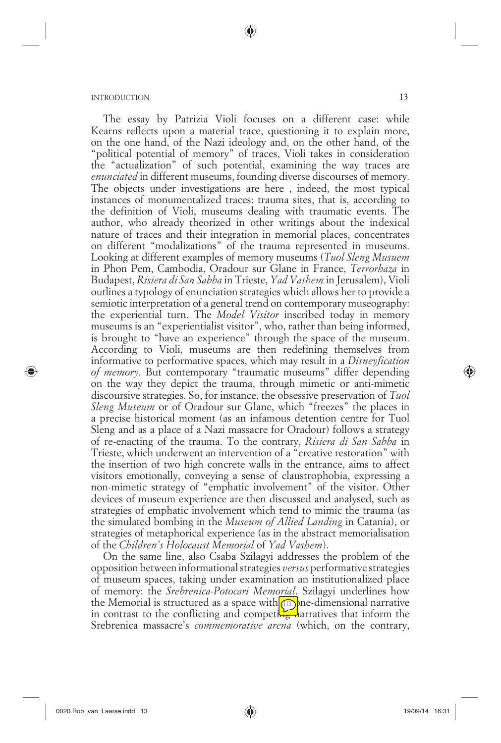The essay by Patrizia Violi focuses on a different case: while Kearns reflects upon a material trace, questioning it to explain more, on the one hand, of the Nazi ideology and, on the other hand, of the "political potential of memory" of traces, Violi takes in consideration the "actualization" of such potential, examining the way traces are *enunciated* in different museums, founding diverse discourses of memory. The objects under investigations are here , indeed, the most typical instances of monumentalized traces: trauma sites, that is, according to the definition of Violi, museums dealing with traumatic events. The author, who already theorized in other writings about the indexical nature of traces and their integration in memorial places, concentrates on different "modalizations" of the trauma represented in museums. Looking at different examples of memory museums (*Tuol Sleng Musuem*  in Phon Pem, Cambodia, Oradour sur Glane in France, *Terrorhaza* in Budapest, *Risiera di San Sabba* in Trieste, *Yad Vashem* in Jerusalem), Violi outlines a typology of enunciation strategies which allows her to provide a semiotic interpretation of a general trend on contemporary museography: the experiential turn. The *Model Visitor* inscribed today in memory museums is an "experientialist visitor", who, rather than being informed, is brought to "have an experience" through the space of the museum. According to Violi, museums are then redefining themselves from informative to performative spaces, which may result in a *Disneyfication of memory*. But contemporary "traumatic museums" differ depending on the way they depict the trauma, through mimetic or anti-mimetic discoursive strategies. So, for instance, the obsessive preservation of *Tuol Sleng Museum* or of Oradour sur Glane, which "freezes" the places in a precise historical moment (as an infamous detention centre for Tuol Sleng and as a place of a Nazi massacre for Oradour) follows a strategy of re-enacting of the trauma. To the contrary, *Risiera di San Sabba* in Trieste, which underwent an intervention of a "creative restoration" with the insertion of two high concrete walls in the entrance, aims to affect visitors emotionally, conveying a sense of claustrophobia, expressing a non-mimetic strategy of "emphatic involvement" of the visitor. Other devices of museum experience are then discussed and analysed, such as strategies of emphatic involvement which tend to mimic the trauma (as the simulated bombing in the *Museum of Allied Landing* in Catania), or strategies of metaphorical experience (as in the abstract memorialisation of the *Children's Holocaust Memorial* of *Yad Vashem*).

(●

On the same line, also Csaba Szilagyi addresses the problem of the opposition between informational strategies *versus* performative strategies of museum spaces, taking under examination an institutionalized place of memory: the *Srebrenica-Potocari Memorial*. Szilagyi underlines how the Memorial is structured as a space with  $\Box$  one-dimensional narrative in contrast to the conflicting and competing harratives that inform the Srebrenica massacre's *commemorative arena* (which, on the contrary,

⊕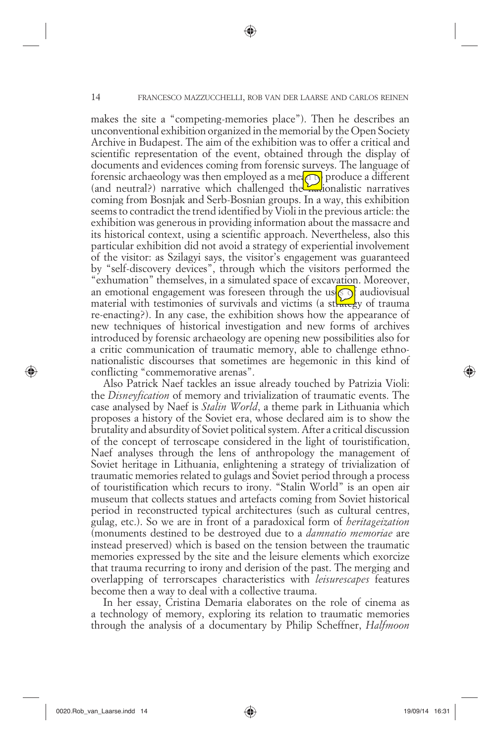makes the site a "competing-memories place"). Then he describes an unconventional exhibition organized in the memorial by the Open Society Archive in Budapest. The aim of the exhibition was to offer a critical and scientific representation of the event, obtained through the display of documents and evidences coming from forensic surveys. The language of forensic archaeology was then employed as a mean produce a different (and neutral?) narrative which challenged the  $\frac{1}{2}$  ionalistic narratives coming from Bosnjak and Serb-Bosnian groups. In a way, this exhibition seems to contradict the trend identified by Violi in the previous article: the exhibition was generous in providing information about the massacre and its historical context, using a scientific approach. Nevertheless, also this particular exhibition did not avoid a strategy of experiential involvement of the visitor: as Szilagyi says, the visitor's engagement was guaranteed by "self-discovery devices", through which the visitors performed the "exhumation" themselves, in a simulated space of excavation. Moreover, an emotional engagement was foreseen through the use  $\circ$  audiovisual material with testimonies of survivals and victims (a strategy of trauma re-enacting?). In any case, the exhibition shows how the appearance of new techniques of historical investigation and new forms of archives introduced by forensic archaeology are opening new possibilities also for a critic communication of traumatic memory, able to challenge ethnonationalistic discourses that sometimes are hegemonic in this kind of conflicting "commemorative arenas".

Also Patrick Naef tackles an issue already touched by Patrizia Violi: the *Disneyfication* of memory and trivialization of traumatic events. The case analysed by Naef is *Stalin World*, a theme park in Lithuania which proposes a history of the Soviet era, whose declared aim is to show the brutality and absurdity of Soviet political system. After a critical discussion of the concept of terroscape considered in the light of touristification, Naef analyses through the lens of anthropology the management of Soviet heritage in Lithuania, enlightening a strategy of trivialization of traumatic memories related to gulags and Soviet period through a process of touristification which recurs to irony. "Stalin World" is an open air museum that collects statues and artefacts coming from Soviet historical period in reconstructed typical architectures (such as cultural centres, gulag, etc.). So we are in front of a paradoxical form of *heritageization* (monuments destined to be destroyed due to a *damnatio memoriae* are instead preserved) which is based on the tension between the traumatic memories expressed by the site and the leisure elements which exorcize that trauma recurring to irony and derision of the past. The merging and overlapping of terrorscapes characteristics with *leisurescapes* features become then a way to deal with a collective trauma.

In her essay, Cristina Demaria elaborates on the role of cinema as a technology of memory, exploring its relation to traumatic memories through the analysis of a documentary by Philip Scheffner, *Halfmoon* 

0020.Rob\_van\_Laarse.indd 14 020.Rob\_van\_Laarse.indd 14 020.Rob\_van\_Laarse.indd 19/09/14 16:31

⊕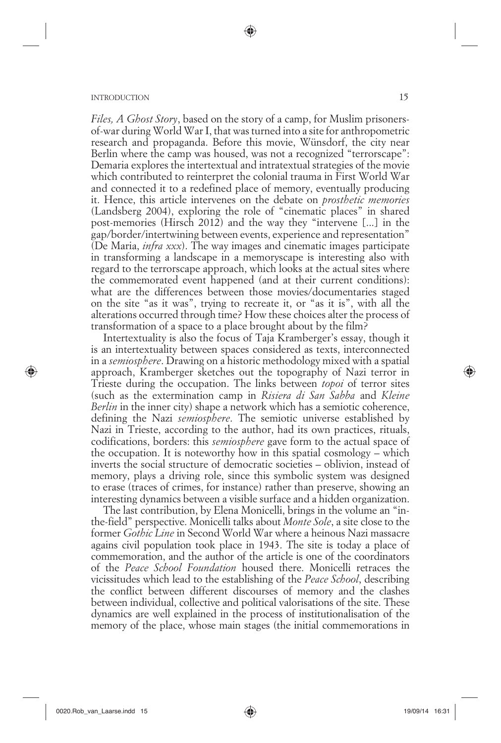*Files, A Ghost Story*, based on the story of a camp, for Muslim prisonersof-war during World War I, that was turned into a site for anthropometric research and propaganda. Before this movie, Wünsdorf, the city near Berlin where the camp was housed, was not a recognized "terrorscape": Demaria explores the intertextual and intratextual strategies of the movie which contributed to reinterpret the colonial trauma in First World War and connected it to a redefined place of memory, eventually producing it. Hence, this article intervenes on the debate on *prosthetic memories* (Landsberg 2004), exploring the role of "cinematic places" in shared post-memories (Hirsch 2012) and the way they "intervene [...] in the gap/border/intertwining between events, experience and representation" (De Maria, *infra xxx*). The way images and cinematic images participate in transforming a landscape in a memoryscape is interesting also with regard to the terrorscape approach, which looks at the actual sites where the commemorated event happened (and at their current conditions): what are the differences between those movies/documentaries staged on the site "as it was", trying to recreate it, or "as it is", with all the alterations occurred through time? How these choices alter the process of transformation of a space to a place brought about by the film?

(●

Intertextuality is also the focus of Taja Kramberger's essay, though it is an intertextuality between spaces considered as texts, interconnected in a *semiosphere*. Drawing on a historic methodology mixed with a spatial approach, Kramberger sketches out the topography of Nazi terror in Trieste during the occupation. The links between *topoi* of terror sites (such as the extermination camp in *Risiera di San Sabba* and *Kleine Berlin* in the inner city) shape a network which has a semiotic coherence, defining the Nazi *semiosphere*. The semiotic universe established by Nazi in Trieste, according to the author, had its own practices, rituals, codifications, borders: this *semiosphere* gave form to the actual space of the occupation. It is noteworthy how in this spatial cosmology – which inverts the social structure of democratic societies – oblivion, instead of memory, plays a driving role, since this symbolic system was designed to erase (traces of crimes, for instance) rather than preserve, showing an interesting dynamics between a visible surface and a hidden organization.

The last contribution, by Elena Monicelli, brings in the volume an "inthe-field" perspective. Monicelli talks about *Monte Sole*, a site close to the former *Gothic Line* in Second World War where a heinous Nazi massacre agains civil population took place in 1943. The site is today a place of commemoration, and the author of the article is one of the coordinators of the *Peace School Foundation* housed there. Monicelli retraces the vicissitudes which lead to the establishing of the *Peace School*, describing the conflict between different discourses of memory and the clashes between individual, collective and political valorisations of the site. These dynamics are well explained in the process of institutionalisation of the memory of the place, whose main stages (the initial commemorations in

⊕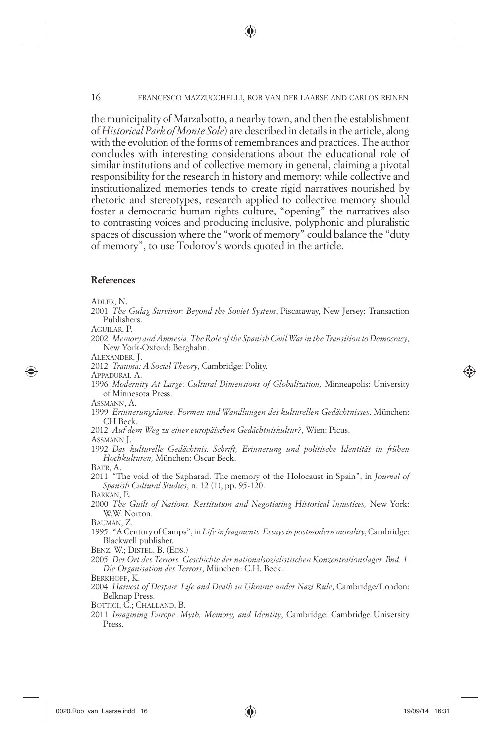the municipality of Marzabotto, a nearby town, and then the establishment of *Historical Park of Monte Sole*) are described in details in the article, along with the evolution of the forms of remembrances and practices. The author concludes with interesting considerations about the educational role of similar institutions and of collective memory in general, claiming a pivotal responsibility for the research in history and memory: while collective and institutionalized memories tends to create rigid narratives nourished by rhetoric and stereotypes, research applied to collective memory should foster a democratic human rights culture, "opening" the narratives also to contrasting voices and producing inclusive, polyphonic and pluralistic spaces of discussion where the "work of memory" could balance the "duty of memory", to use Todorov's words quoted in the article.

#### **References**

ADLER, N.

AGUILAR, P.

2002 *Memory and Amnesia. The Role of the Spanish Civil War in the Transition to Democracy*, New York-Oxford: Berghahn.

ALEXANDER, J.

2012 *Trauma: A Social Theory*, Cambridge: Polity.

APPADURAI, A.

⊕

1996 *Modernity At Large: Cultural Dimensions of Globalization,* Minneapolis: University of Minnesota Press.

ASSMANN, A.

1999 *Erinnerungräume. Formen und Wandlungen des kulturellen Gedächtnisses*. München: CH Beck.

2012 *Auf dem Weg zu einer europäischen Gedächtniskultur?*, Wien: Picus.

ASSMANN J.

1992 Das kulturelle Gedächtnis. Schrift, Erinnerung und politische Identität in frühen Hochkulturen, München: Oscar Beck.

BAER, A.

2011 "The void of the Sapharad. The memory of the Holocaust in Spain", in *Journal of Spanish Cultural Studies*, n. 12 (1), pp. 95-120.

BARKAN, E.

2000 *The Guilt of Nations. Restitution and Negotiating Historical Injustices,* New York: W.W. Norton.

BAUMAN, Z.

1995 "A Century of Camps", in *Life in fragments. Essays in postmodern morality*, Cambridge: Blackwell publisher.

BENZ, W.; DISTEL, B. (EDS.)

2005 *Der Ort des Terrors. Geschichte der nationalsozialistischen Konzentrationslager. Bnd. 1. Die Organisation des Terrors*, München: C.H. Beck.

BERKHOFF, K.

2004 *Harvest of Despair. Life and Death in Ukraine under Nazi Rule*, Cambridge/London: Belknap Press.

BOTTICI, C.; CHALLAND, B.

2011 *Imagining Europe. Myth, Memory, and Identity*, Cambridge: Cambridge University Press.

<sup>2001</sup> *The Gulag Survivor: Beyond the Soviet System*, Piscataway, New Jersey: Transaction Publishers.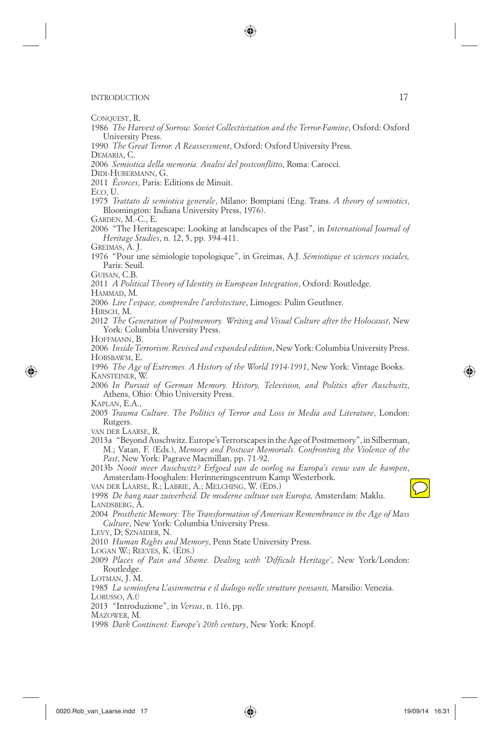CONQUEST, R.

- 1986 *The Harvest of Sorrow. Soviet Collectivization and the Terror-Famine*, Oxford: Oxford University Press.
- 1990 *The Great Terror. A Reassessment*, Oxford: Oxford University Press.
- DEMARIA, C.
- 2006 *Semiotica della memoria. Analisi del postconflitto*, Roma: Carocci.
- DIDI-HUBERMANN, G.

2011 *Écorces*, Paris: Editions de Minuit.

- ECO, U.
- 1975 *Trattato di semiotica generale*, Milano: Bompiani (Eng. Trans. *A theory of semiotics*, Bloomington: Indiana University Press, 1976).
- GARDEN, M.-C., E.
- 2006 "The Heritagescape: Looking at landscapes of the Past", in *International Journal of Heritage Studies*, n. 12, 5, pp. 394-411.
- GREIMAS, A. J.
- 1976 "Pour une sé miologie topologique", in Greimas, A.J. *Sé miotique et sciences sociales,* Paris: Seuil.
- GUISAN, C.B.
- 2011 *A Political Theory of Identity in European Integration*, Oxford: Routledge.
- HAMMAD, M.
- 2006 *Lire l'espace, comprendre l'architecture*, Limoges: Pulim Geuthner.
- HIRSCH, M.
- 2012 *The Generation of Postmemory. Writing and Visual Culture after the Holocaust*, New York: Columbia University Press.

HOFFMANN, B.

⊕

- 2006 *Inside Terrorism. Revised and expanded edition*, New York: Columbia University Press. HOBSBAWM, E.
- 1996 *The Age of Extremes. A History of the World 1914-1991*, New York: Vintage Books. KANSTEINER, W.
- 2006 *In Pursuit of German Memory. History, Television, and Politics after Auschwitz*, Athens, Ohio: Ohio University Press.
- KAPLAN, E.A.,
- 2005 *Trauma Culture. The Politics of Terror and Loss in Media and Literature*, London: Rutgers.

VAN DER LAARSE, R.

2013a "Beyond Auschwitz. Europe's Terrorscapes in the Age of Postmemory", in Silberman, M.; Vatan, F. (Eds.), *Memory and Postwar Memorials. Confronting the Violence of the Past*, New York: Pagrave Macmillan, pp. 71-92.

2013b *Nooit meer Auschwitz? Erfgoed van de oorlog na Europa's eeuw van de kampen*, Amsterdam-Hooghalen: Herinneringscentrum Kamp Westerbork.

VAN DER LAARSE, R.; LABRIE, A.; MELCHING, W. (EDS.)

⊕

1998 *De hang naar zuiverheid. De moderne cultuur van Europa,* Amsterdam: Maklu. LANDSBERG, A.

2004 *Prosthetic Memory: The Transformation of American Remembrance in the Age of Mass Culture*, New York: Columbia University Press.

LEVY, D; SZNAIDER, N.

2010 *Human Rights and Memory*, Penn State University Press.

LOGAN W.; REEVES, K. (EDS.)

2009 *Places of Pain and Shame. Dealing with 'Difficult Heritage'*, New York/London: Routledge.

LOTMAN, J. M.

1985 *La semiosfera L'asimmetria e il dialogo nelle strutture pensanti,* Marsilio: Venezia. LORUSSO, A.Ù

2013 "Introduzione", in *Versus*, n. 116, pp.

MAZOWER, M.

1998 *Dark Continent: Europe's 20th century*, New York: Knopf.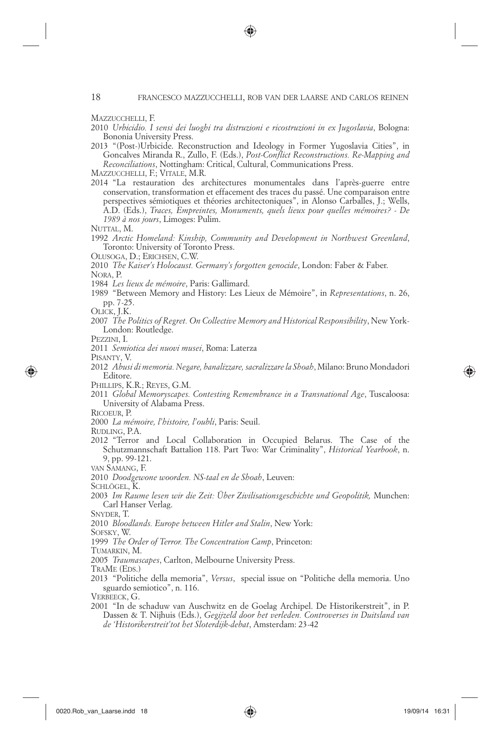MAZZUCCHELLI, F.

- 2010 *Urbicidio. I sensi dei luoghi tra distruzioni e ricostruzioni in ex Jugoslavia*, Bologna: Bononia University Press.
- 2013 "(Post-)Urbicide. Reconstruction and Ideology in Former Yugoslavia Cities", in Goncalves Miranda R., Zullo, F. (Eds.), *Post-Conflict Reconstructions. Re-Mapping and Reconciliations*, Nottingham: Critical, Cultural, Communications Press.

MAZZUCCHELLI, F.; VITALE, M.R.

2014 "La restauration des architectures monumentales dans l'après-guerre entre conservation, transformation et effacement des traces du passé. Une comparaison entre perspectives sémiotiques et théories architectoniques", in Alonso Carballes, J.; Wells, A.D. (Eds.), *Traces, Empreintes, Monuments, quels lieux pour quelles mémoires? - De 1989 à nos jours*, Limoges: Pulim.

NUTTAL, M.

- 1992 *Arctic Homeland: Kinship, Community and Development in Northwest Greenland*, Toronto: University of Toronto Press.
- OLUSOGA, D.; ERICHSEN, C.W.
- 2010 *The Kaiser's Holocaust. Germany's forgotten genocide*, London: Faber & Faber. NORA, P.
- 1984 *Les lieux de mé moire*, Paris: Gallimard.
- 1989 "Between Memory and History: Les Lieux de Mémoire", in *Representations*, n. 26, pp. 7-25.
- OLICK, J.K.
- 2007 *The Politics of Regret. On Collective Memory and Historical Responsibility*, New York-London: Routledge.

PEZZINI, I.

- 2011 *Semiotica dei nuovi musei*, Roma: Laterza
- PISANTY, V.

⊕

- 2012 *Abusi di memoria. Negare, banalizzare, sacralizzare la Shoah*, Milano: Bruno Mondadori Editore.
- PHILLIPS, K.R.; REYES, G.M.
- 2011 *Global Memoryscapes. Contesting Remembrance in a Transnational Age*, Tuscaloosa: University of Alabama Press.
- RICOEUR, P.
- 2000 *La mé moire, l'histoire, l'oubli*, Paris: Seuil.
- RUDLING, P.A.
- 2012 "Terror and Local Collaboration in Occupied Belarus. The Case of the Schutzmannschaft Battalion 118. Part Two: War Criminality", *Historical Yearbook*, n. 9, pp. 99-121.
- VAN SAMANG, F.
- 2010 *Doodgewone woorden. NS-taal en de Shoah*, Leuven:

SCHLÖGEL, K.

2003 *Im Raume lesen wir die Zeit: Über Zivilisationsgeschichte und Geopolitik,* Munchen: Carl Hanser Verlag.

SNYDER, T.

2010 *Bloodlands. Europe between Hitler and Stalin*, New York:

SOFSKY, W.

1999 *The Order of Terror. The Concentration Camp*, Princeton:

TUMARKIN, M.

2005 *Traumascapes*, Carlton, Melbourne University Press.

TRAME (EDS.)

2013 "Politiche della memoria", *Versus*, special issue on "Politiche della memoria. Uno sguardo semiotico", n. 116.

VERBEECK, G.

2001 "In de schaduw van Auschwitz en de Goelag Archipel. De Historikerstreit", in P. Dassen & T. Nijhuis (Eds.), *Gegijzeld door het verleden. Controverses in Duitsland van de 'Historikerstreit'tot het Sloterdijk-debat*, Amsterdam: 23-42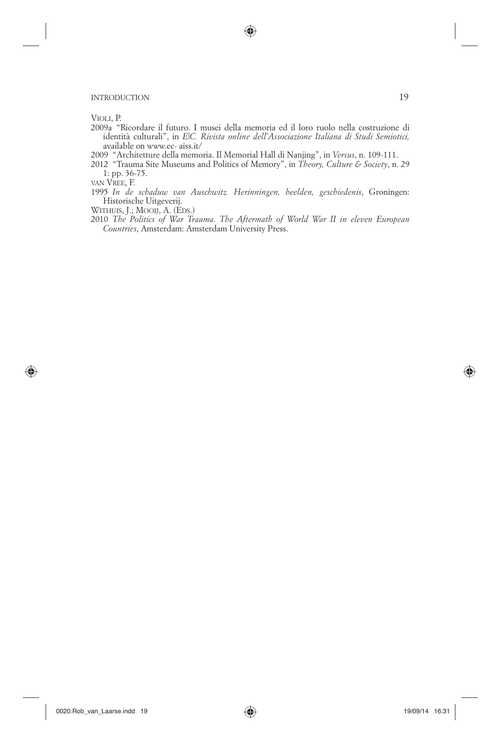VIOLI, P.

2009a "Ricordare il futuro. I musei della memoria ed il loro ruolo nella costruzione di identità culturali", in *E|C. Rivista online dell'Associazione Italiana di Studi Semiotici,* available on www.ec- aiss.it/

♠

- 2009 "Architetture della memoria. Il Memorial Hall di Nanjing", in *Versus*, n. 109-111.
- 2012 "Trauma Site Museums and Politics of Memory", in *Theory, Culture & Society*, n. 29 1: pp. 36-75.

VAN VREE, F.

⊕

1995 *In de schaduw van Auschwitz. Herinningen, beelden, geschiedenis*, Groningen: Historische Uitgeverij.

WITHUIS, J.; MOOIJ, A. (EDS.)

2010 *The Politics of War Trauma. The Aftermath of World War II in eleven European Countries*, Amsterdam: Amsterdam University Press.